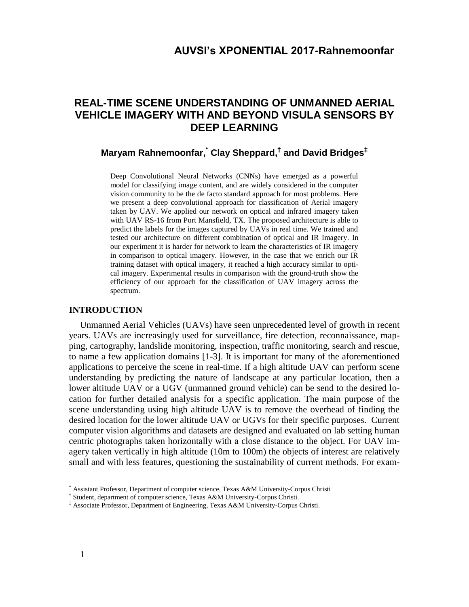# **AUVSI's XPONENTIAL 2017-Rahnemoonfar**

# **REAL-TIME SCENE UNDERSTANDING OF UNMANNED AERIAL VEHICLE IMAGERY WITH AND BEYOND VISULA SENSORS BY DEEP LEARNING**

## **Maryam Rahnemoonfar, \* Clay Sheppard, † and David Bridges‡**

Deep Convolutional Neural Networks (CNNs) have emerged as a powerful model for classifying image content, and are widely considered in the computer vision community to be the de facto standard approach for most problems. Here we present a deep convolutional approach for classification of Aerial imagery taken by UAV. We applied our network on optical and infrared imagery taken with UAV RS-16 from Port Mansfield, TX. The proposed architecture is able to predict the labels for the images captured by UAVs in real time. We trained and tested our architecture on different combination of optical and IR Imagery. In our experiment it is harder for network to learn the characteristics of IR imagery in comparison to optical imagery. However, in the case that we enrich our IR training dataset with optical imagery, it reached a high accuracy similar to optical imagery. Experimental results in comparison with the ground-truth show the efficiency of our approach for the classification of UAV imagery across the spectrum.

## **INTRODUCTION**

Unmanned Aerial Vehicles (UAVs) have seen unprecedented level of growth in recent years. UAVs are increasingly used for surveillance, fire detection, reconnaissance, mapping, cartography, landslide monitoring, inspection, traffic monitoring, search and rescue, to name a few application domains [1-3]. It is important for many of the aforementioned applications to perceive the scene in real-time. If a high altitude UAV can perform scene understanding by predicting the nature of landscape at any particular location, then a lower altitude UAV or a UGV (unmanned ground vehicle) can be send to the desired location for further detailed analysis for a specific application. The main purpose of the scene understanding using high altitude UAV is to remove the overhead of finding the desired location for the lower altitude UAV or UGVs for their specific purposes. Current computer vision algorithms and datasets are designed and evaluated on lab setting human centric photographs taken horizontally with a close distance to the object. For UAV imagery taken vertically in high altitude (10m to 100m) the objects of interest are relatively small and with less features, questioning the sustainability of current methods. For exam-

 $\overline{a}$ 

<sup>\*</sup> Assistant Professor, Department of computer science, Texas A&M University-Corpus Christi

<sup>†</sup> Student, department of computer science, Texas A&M University-Corpus Christi.

<sup>‡</sup> Associate Professor, Department of Engineering, Texas A&M University-Corpus Christi.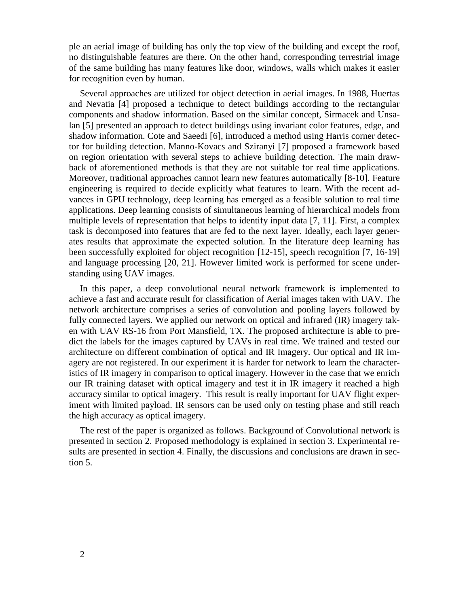ple an aerial image of building has only the top view of the building and except the roof, no distinguishable features are there. On the other hand, corresponding terrestrial image of the same building has many features like door, windows, walls which makes it easier for recognition even by human.

Several approaches are utilized for object detection in aerial images. In 1988, Huertas and Nevatia [4] proposed a technique to detect buildings according to the rectangular components and shadow information. Based on the similar concept, Sirmacek and Unsalan [5] presented an approach to detect buildings using invariant color features, edge, and shadow information. Cote and Saeedi [6], introduced a method using Harris corner detector for building detection. Manno-Kovacs and Sziranyi [7] proposed a framework based on region orientation with several steps to achieve building detection. The main drawback of aforementioned methods is that they are not suitable for real time applications. Moreover, traditional approaches cannot learn new features automatically [8-10]. Feature engineering is required to decide explicitly what features to learn. With the recent advances in GPU technology, deep learning has emerged as a feasible solution to real time applications. Deep learning consists of simultaneous learning of hierarchical models from multiple levels of representation that helps to identify input data [7, 11]. First, a complex task is decomposed into features that are fed to the next layer. Ideally, each layer generates results that approximate the expected solution. In the literature deep learning has been successfully exploited for object recognition [12-15], speech recognition [7, 16-19] and language processing [20, 21]. However limited work is performed for scene understanding using UAV images.

In this paper, a deep convolutional neural network framework is implemented to achieve a fast and accurate result for classification of Aerial images taken with UAV. The network architecture comprises a series of convolution and pooling layers followed by fully connected layers. We applied our network on optical and infrared (IR) imagery taken with UAV RS-16 from Port Mansfield, TX. The proposed architecture is able to predict the labels for the images captured by UAVs in real time. We trained and tested our architecture on different combination of optical and IR Imagery. Our optical and IR imagery are not registered. In our experiment it is harder for network to learn the characteristics of IR imagery in comparison to optical imagery. However in the case that we enrich our IR training dataset with optical imagery and test it in IR imagery it reached a high accuracy similar to optical imagery. This result is really important for UAV flight experiment with limited payload. IR sensors can be used only on testing phase and still reach the high accuracy as optical imagery.

The rest of the paper is organized as follows. Background of Convolutional network is presented in section 2. Proposed methodology is explained in section 3. Experimental results are presented in section 4. Finally, the discussions and conclusions are drawn in section 5.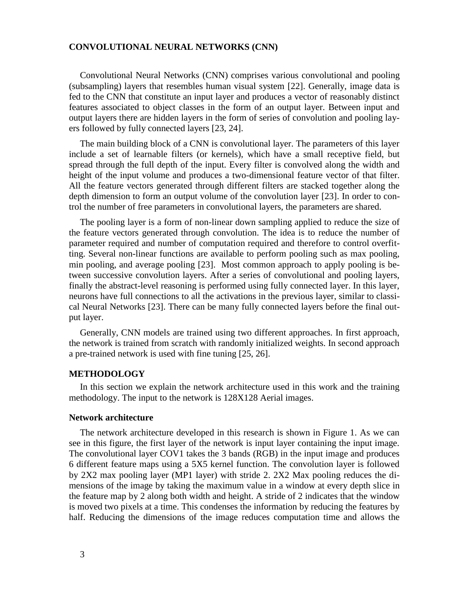## **CONVOLUTIONAL NEURAL NETWORKS (CNN)**

Convolutional Neural Networks (CNN) comprises various convolutional and pooling (subsampling) layers that resembles human visual system [22]. Generally, image data is fed to the CNN that constitute an input layer and produces a vector of reasonably distinct features associated to object classes in the form of an output layer. Between input and output layers there are hidden layers in the form of series of convolution and pooling layers followed by fully connected layers [23, 24].

The main building block of a CNN is convolutional layer. The parameters of this layer include a set of learnable filters (or kernels), which have a small receptive field, but spread through the full depth of the input. Every filter is convolved along the width and height of the input volume and produces a two-dimensional feature vector of that filter. All the feature vectors generated through different filters are stacked together along the depth dimension to form an output volume of the convolution layer [23]. In order to control the number of free parameters in convolutional layers, the parameters are shared.

The pooling layer is a form of non-linear down sampling applied to reduce the size of the feature vectors generated through convolution. The idea is to reduce the number of parameter required and number of computation required and therefore to control overfitting. Several non-linear functions are available to perform pooling such as max pooling, min pooling, and average pooling [23]. Most common approach to apply pooling is between successive convolution layers. After a series of convolutional and pooling layers, finally the abstract-level reasoning is performed using fully connected layer. In this layer, neurons have full connections to all the activations in the previous layer, similar to classical Neural Networks [23]. There can be many fully connected layers before the final output layer.

Generally, CNN models are trained using two different approaches. In first approach, the network is trained from scratch with randomly initialized weights. In second approach a pre-trained network is used with fine tuning [25, 26].

#### **METHODOLOGY**

In this section we explain the network architecture used in this work and the training methodology. The input to the network is 128X128 Aerial images.

### **Network architecture**

The network architecture developed in this research is shown in Figure 1. As we can see in this figure, the first layer of the network is input layer containing the input image. The convolutional layer COV1 takes the 3 bands (RGB) in the input image and produces 6 different feature maps using a 5X5 kernel function. The convolution layer is followed by 2X2 max pooling layer (MP1 layer) with stride 2. 2X2 Max pooling reduces the dimensions of the image by taking the maximum value in a window at every depth slice in the feature map by 2 along both width and height. A stride of 2 indicates that the window is moved two pixels at a time. This condenses the information by reducing the features by half. Reducing the dimensions of the image reduces computation time and allows the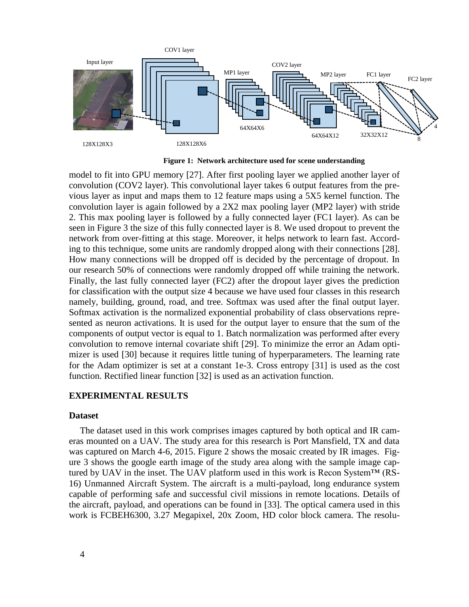

**Figure 1: Network architecture used for scene understanding**

model to fit into GPU memory [27]. After first pooling layer we applied another layer of convolution (COV2 layer). This convolutional layer takes 6 output features from the previous layer as input and maps them to 12 feature maps using a 5X5 kernel function. The convolution layer is again followed by a 2X2 max pooling layer (MP2 layer) with stride 2. This max pooling layer is followed by a fully connected layer (FC1 layer). As can be seen in Figure 3 the size of this fully connected layer is 8. We used dropout to prevent the network from over-fitting at this stage. Moreover, it helps network to learn fast. According to this technique, some units are randomly dropped along with their connections [28]. How many connections will be dropped off is decided by the percentage of dropout. In our research 50% of connections were randomly dropped off while training the network. Finally, the last fully connected layer (FC2) after the dropout layer gives the prediction for classification with the output size 4 because we have used four classes in this research namely, building, ground, road, and tree. Softmax was used after the final output layer. Softmax activation is the normalized exponential probability of class observations represented as neuron activations. It is used for the output layer to ensure that the sum of the components of output vector is equal to 1. Batch normalization was performed after every convolution to remove internal covariate shift [29]. To minimize the error an Adam optimizer is used [30] because it requires little tuning of hyperparameters. The learning rate for the Adam optimizer is set at a constant 1e-3. Cross entropy [31] is used as the cost function. Rectified linear function [32] is used as an activation function.

## **EXPERIMENTAL RESULTS**

#### **Dataset**

The dataset used in this work comprises images captured by both optical and IR cameras mounted on a UAV. The study area for this research is Port Mansfield, TX and data was captured on March 4-6, 2015. Figure 2 shows the mosaic created by IR images. Figure 3 shows the google earth image of the study area along with the sample image captured by UAV in the inset. The UAV platform used in this work is Recon System™ (RS-16) Unmanned Aircraft System. The aircraft is a multi-payload, long endurance system capable of performing safe and successful civil missions in remote locations. Details of the aircraft, payload, and operations can be found in [33]. The optical camera used in this work is FCBEH6300, 3.27 Megapixel, 20x Zoom, HD color block camera. The resolu-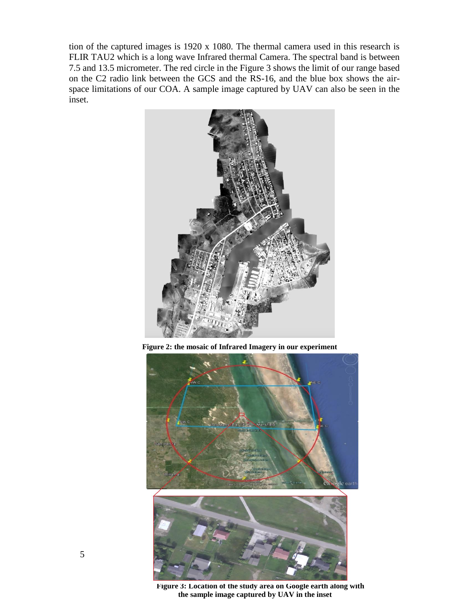tion of the captured images is 1920 x 1080. The thermal camera used in this research is FLIR TAU2 which is a long wave Infrared thermal Camera. The spectral band is between 7.5 and 13.5 micrometer. The red circle in the Figure 3 shows the limit of our range based on the C2 radio link between the GCS and the RS-16, and the blue box shows the airspace limitations of our COA. A sample image captured by UAV can also be seen in the inset.



**Figure 2: the mosaic of Infrared Imagery in our experiment**



**Figure 3: Location of the study area on Google earth along with the sample image captured by UAV in the inset**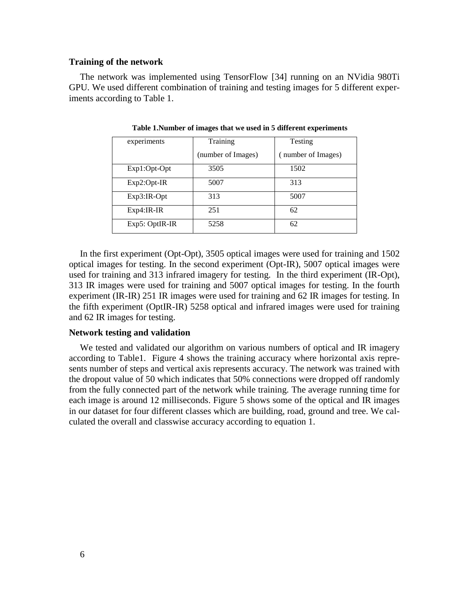#### **Training of the network**

The network was implemented using TensorFlow [34] running on an NVidia 980Ti GPU. We used different combination of training and testing images for 5 different experiments according to Table 1.

| experiments    | Training           | Testing            |  |
|----------------|--------------------|--------------------|--|
|                | (number of Images) | (number of Images) |  |
| Exp1:Opt-Opt   | 3505               | 1502               |  |
| $Exp2:Opt-IR$  | 5007               | 313                |  |
| $Exp3:IR-Opt$  | 313                | 5007               |  |
| $Exp4:IR-IR$   | 251                | 62                 |  |
| Exp5: OptIR-IR | 5258               | 62                 |  |

**Table 1.Number of images that we used in 5 different experiments**

In the first experiment (Opt-Opt), 3505 optical images were used for training and 1502 optical images for testing. In the second experiment (Opt-IR), 5007 optical images were used for training and 313 infrared imagery for testing. In the third experiment (IR-Opt), 313 IR images were used for training and 5007 optical images for testing. In the fourth experiment (IR-IR) 251 IR images were used for training and 62 IR images for testing. In the fifth experiment (OptIR-IR) 5258 optical and infrared images were used for training and 62 IR images for testing.

## **Network testing and validation**

We tested and validated our algorithm on various numbers of optical and IR imagery according to Table1. Figure 4 shows the training accuracy where horizontal axis represents number of steps and vertical axis represents accuracy. The network was trained with the dropout value of 50 which indicates that 50% connections were dropped off randomly from the fully connected part of the network while training. The average running time for each image is around 12 milliseconds. Figure 5 shows some of the optical and IR images in our dataset for four different classes which are building, road, ground and tree. We calculated the overall and classwise accuracy according to equation 1.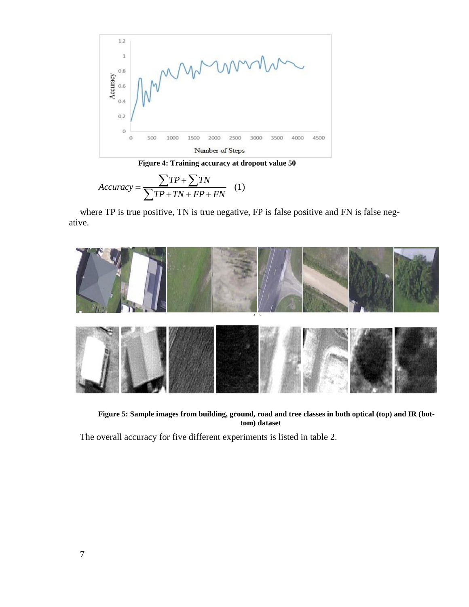

**Figure 4: Training accuracy at dropout value 50**

$$
Accuracy = \frac{\sum TP + \sum TN}{\sum TP + TN + FP + FN} \quad (1)
$$

where TP is true positive, TN is true negative, FP is false positive and FN is false negative.



**Figure 5: Sample images from building, ground, road and tree classes in both optical (top) and IR (bottom) dataset** 

The overall accuracy for five different experiments is listed in table 2.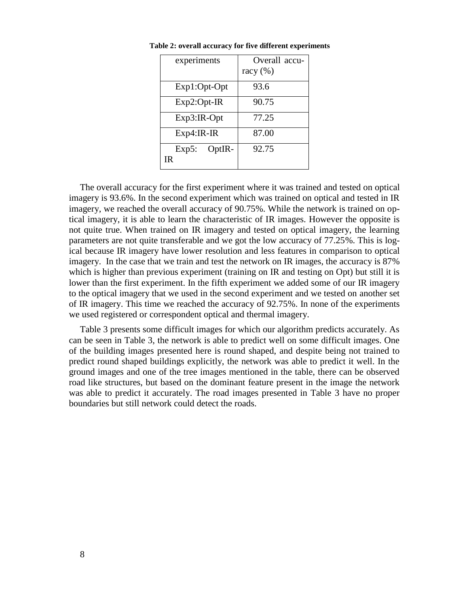| experiments    | Overall accu- |  |  |
|----------------|---------------|--|--|
|                | racy $(\% )$  |  |  |
| Exp1:Opt-Opt   | 93.6          |  |  |
| $Exp2:Opt-IR$  | 90.75         |  |  |
| $Exp3:IR-Opt$  | 77.25         |  |  |
| $Exp4:IR-IR$   | 87.00         |  |  |
| $Exp5: OptIR-$ | 92.75         |  |  |
| IR             |               |  |  |

**Table 2: overall accuracy for five different experiments**

The overall accuracy for the first experiment where it was trained and tested on optical imagery is 93.6%. In the second experiment which was trained on optical and tested in IR imagery, we reached the overall accuracy of 90.75%. While the network is trained on optical imagery, it is able to learn the characteristic of IR images. However the opposite is not quite true. When trained on IR imagery and tested on optical imagery, the learning parameters are not quite transferable and we got the low accuracy of 77.25%. This is logical because IR imagery have lower resolution and less features in comparison to optical imagery. In the case that we train and test the network on IR images, the accuracy is 87% which is higher than previous experiment (training on IR and testing on Opt) but still it is lower than the first experiment. In the fifth experiment we added some of our IR imagery to the optical imagery that we used in the second experiment and we tested on another set of IR imagery. This time we reached the accuracy of 92.75%. In none of the experiments we used registered or correspondent optical and thermal imagery.

Table 3 presents some difficult images for which our algorithm predicts accurately. As can be seen in Table 3, the network is able to predict well on some difficult images. One of the building images presented here is round shaped, and despite being not trained to predict round shaped buildings explicitly, the network was able to predict it well. In the ground images and one of the tree images mentioned in the table, there can be observed road like structures, but based on the dominant feature present in the image the network was able to predict it accurately. The road images presented in Table 3 have no proper boundaries but still network could detect the roads.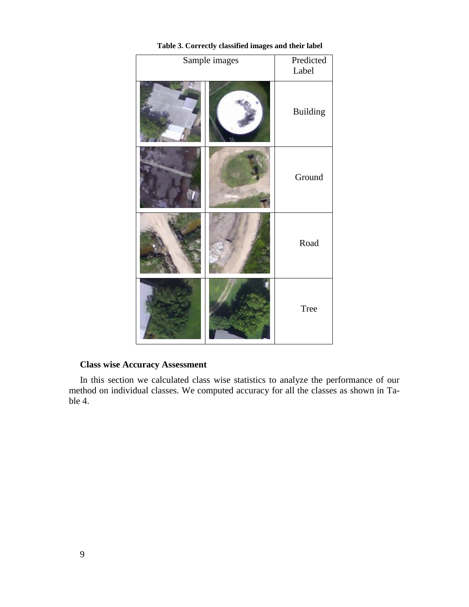| Sample images |  | Predicted<br>Label |
|---------------|--|--------------------|
|               |  | <b>Building</b>    |
|               |  | Ground             |
|               |  | Road               |
|               |  | <b>Tree</b>        |

## **Table 3. Correctly classified images and their label**

## **Class wise Accuracy Assessment**

In this section we calculated class wise statistics to analyze the performance of our method on individual classes. We computed accuracy for all the classes as shown in Table 4.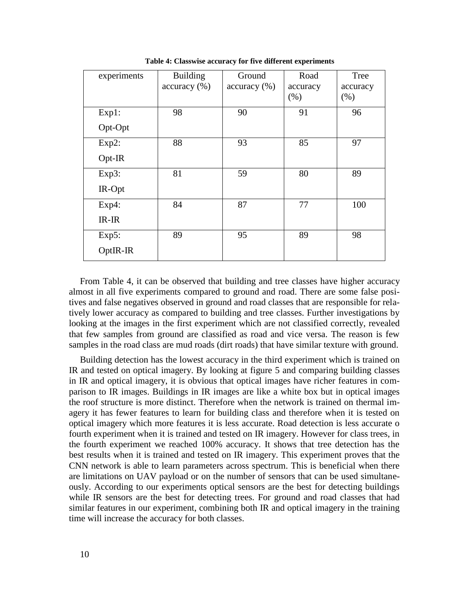| experiments | <b>Building</b> | Ground       | Road     | Tree     |
|-------------|-----------------|--------------|----------|----------|
|             | accuracy (%)    | accuracy (%) | accuracy | accuracy |
|             |                 |              | (% )     | (% )     |
| $Exp1$ :    | 98              | 90           | 91       | 96       |
| Opt-Opt     |                 |              |          |          |
| Exp2:       | 88              | 93           | 85       | 97       |
| Opt-IR      |                 |              |          |          |
| Exp3:       | 81              | 59           | 80       | 89       |
| IR-Opt      |                 |              |          |          |
| $Exp4$ :    | 84              | 87           | 77       | 100      |
| $IR-IR$     |                 |              |          |          |
| $Exp5$ :    | 89              | 95           | 89       | 98       |
| OptIR-IR    |                 |              |          |          |

**Table 4: Classwise accuracy for five different experiments**

From Table 4, it can be observed that building and tree classes have higher accuracy almost in all five experiments compared to ground and road. There are some false positives and false negatives observed in ground and road classes that are responsible for relatively lower accuracy as compared to building and tree classes. Further investigations by looking at the images in the first experiment which are not classified correctly, revealed that few samples from ground are classified as road and vice versa. The reason is few samples in the road class are mud roads (dirt roads) that have similar texture with ground.

Building detection has the lowest accuracy in the third experiment which is trained on IR and tested on optical imagery. By looking at figure 5 and comparing building classes in IR and optical imagery, it is obvious that optical images have richer features in comparison to IR images. Buildings in IR images are like a white box but in optical images the roof structure is more distinct. Therefore when the network is trained on thermal imagery it has fewer features to learn for building class and therefore when it is tested on optical imagery which more features it is less accurate. Road detection is less accurate o fourth experiment when it is trained and tested on IR imagery. However for class trees, in the fourth experiment we reached 100% accuracy. It shows that tree detection has the best results when it is trained and tested on IR imagery. This experiment proves that the CNN network is able to learn parameters across spectrum. This is beneficial when there are limitations on UAV payload or on the number of sensors that can be used simultaneously. According to our experiments optical sensors are the best for detecting buildings while IR sensors are the best for detecting trees. For ground and road classes that had similar features in our experiment, combining both IR and optical imagery in the training time will increase the accuracy for both classes.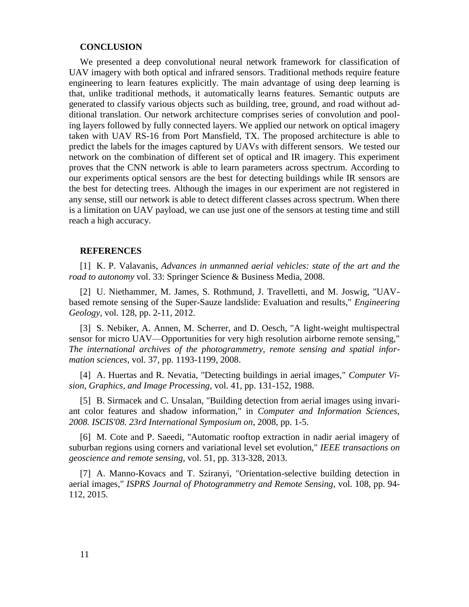#### **CONCLUSION**

We presented a deep convolutional neural network framework for classification of UAV imagery with both optical and infrared sensors. Traditional methods require feature engineering to learn features explicitly. The main advantage of using deep learning is that, unlike traditional methods, it automatically learns features. Semantic outputs are generated to classify various objects such as building, tree, ground, and road without additional translation. Our network architecture comprises series of convolution and pooling layers followed by fully connected layers. We applied our network on optical imagery taken with UAV RS-16 from Port Mansfield, TX. The proposed architecture is able to predict the labels for the images captured by UAVs with different sensors. We tested our network on the combination of different set of optical and IR imagery. This experiment proves that the CNN network is able to learn parameters across spectrum. According to our experiments optical sensors are the best for detecting buildings while IR sensors are the best for detecting trees. Although the images in our experiment are not registered in any sense, still our network is able to detect different classes across spectrum. When there is a limitation on UAV payload, we can use just one of the sensors at testing time and still reach a high accuracy.

#### **REFERENCES**

[1] K. P. Valavanis, *Advances in unmanned aerial vehicles: state of the art and the road to autonomy* vol. 33: Springer Science & Business Media, 2008.

[2] U. Niethammer, M. James, S. Rothmund, J. Travelletti, and M. Joswig, "UAVbased remote sensing of the Super-Sauze landslide: Evaluation and results," *Engineering Geology,* vol. 128, pp. 2-11, 2012.

[3] S. Nebiker, A. Annen, M. Scherrer, and D. Oesch, "A light-weight multispectral sensor for micro UAV—Opportunities for very high resolution airborne remote sensing," *The international archives of the photogrammetry, remote sensing and spatial information sciences,* vol. 37, pp. 1193-1199, 2008.

[4] A. Huertas and R. Nevatia, "Detecting buildings in aerial images," *Computer Vision, Graphics, and Image Processing,* vol. 41, pp. 131-152, 1988.

[5] B. Sirmacek and C. Unsalan, "Building detection from aerial images using invariant color features and shadow information," in *Computer and Information Sciences, 2008. ISCIS'08. 23rd International Symposium on*, 2008, pp. 1-5.

[6] M. Cote and P. Saeedi, "Automatic rooftop extraction in nadir aerial imagery of suburban regions using corners and variational level set evolution," *IEEE transactions on geoscience and remote sensing,* vol. 51, pp. 313-328, 2013.

[7] A. Manno-Kovacs and T. Sziranyi, "Orientation-selective building detection in aerial images," *ISPRS Journal of Photogrammetry and Remote Sensing,* vol. 108, pp. 94- 112, 2015.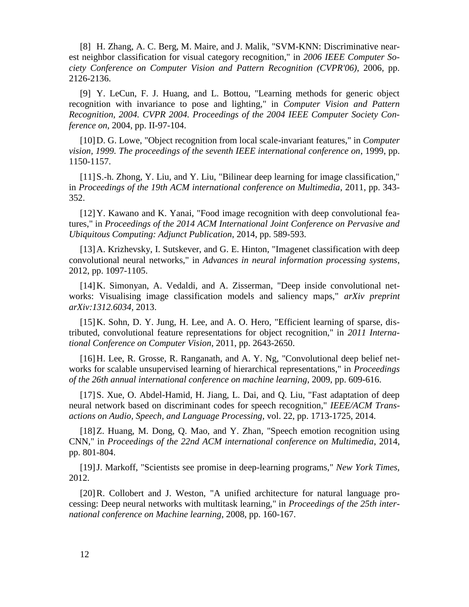[8] H. Zhang, A. C. Berg, M. Maire, and J. Malik, "SVM-KNN: Discriminative nearest neighbor classification for visual category recognition," in *2006 IEEE Computer Society Conference on Computer Vision and Pattern Recognition (CVPR'06)*, 2006, pp. 2126-2136.

[9] Y. LeCun, F. J. Huang, and L. Bottou, "Learning methods for generic object recognition with invariance to pose and lighting," in *Computer Vision and Pattern Recognition, 2004. CVPR 2004. Proceedings of the 2004 IEEE Computer Society Conference on*, 2004, pp. II-97-104.

[10]D. G. Lowe, "Object recognition from local scale-invariant features," in *Computer vision, 1999. The proceedings of the seventh IEEE international conference on*, 1999, pp. 1150-1157.

[11] S.-h. Zhong, Y. Liu, and Y. Liu, "Bilinear deep learning for image classification," in *Proceedings of the 19th ACM international conference on Multimedia*, 2011, pp. 343- 352.

[12] Y. Kawano and K. Yanai, "Food image recognition with deep convolutional features," in *Proceedings of the 2014 ACM International Joint Conference on Pervasive and Ubiquitous Computing: Adjunct Publication*, 2014, pp. 589-593.

[13] A. Krizhevsky, I. Sutskever, and G. E. Hinton, "Imagenet classification with deep convolutional neural networks," in *Advances in neural information processing systems*, 2012, pp. 1097-1105.

[14]K. Simonyan, A. Vedaldi, and A. Zisserman, "Deep inside convolutional networks: Visualising image classification models and saliency maps," *arXiv preprint arXiv:1312.6034,* 2013.

[15]K. Sohn, D. Y. Jung, H. Lee, and A. O. Hero, "Efficient learning of sparse, distributed, convolutional feature representations for object recognition," in *2011 International Conference on Computer Vision*, 2011, pp. 2643-2650.

[16]H. Lee, R. Grosse, R. Ranganath, and A. Y. Ng, "Convolutional deep belief networks for scalable unsupervised learning of hierarchical representations," in *Proceedings of the 26th annual international conference on machine learning*, 2009, pp. 609-616.

[17]S. Xue, O. Abdel-Hamid, H. Jiang, L. Dai, and Q. Liu, "Fast adaptation of deep neural network based on discriminant codes for speech recognition," *IEEE/ACM Transactions on Audio, Speech, and Language Processing,* vol. 22, pp. 1713-1725, 2014.

[18] Z. Huang, M. Dong, Q. Mao, and Y. Zhan, "Speech emotion recognition using CNN," in *Proceedings of the 22nd ACM international conference on Multimedia*, 2014, pp. 801-804.

[19]J. Markoff, "Scientists see promise in deep-learning programs," *New York Times,*  2012.

[20] R. Collobert and J. Weston, "A unified architecture for natural language processing: Deep neural networks with multitask learning," in *Proceedings of the 25th international conference on Machine learning*, 2008, pp. 160-167.